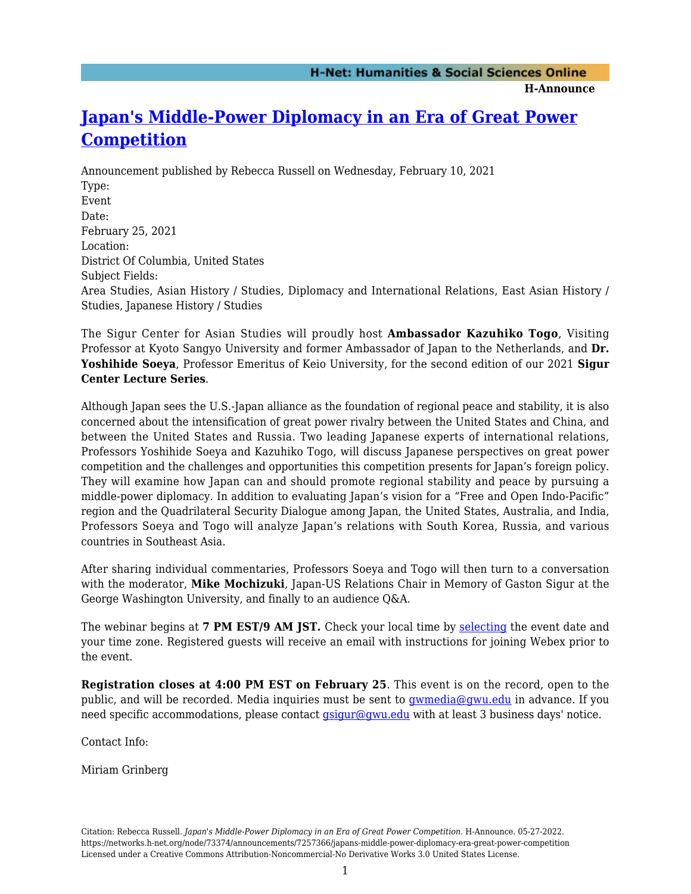**H-Announce** 

## **[Japan's Middle-Power Diplomacy in an Era of Great Power](https://networks.h-net.org/node/73374/announcements/7257366/japans-middle-power-diplomacy-era-great-power-competition) [Competition](https://networks.h-net.org/node/73374/announcements/7257366/japans-middle-power-diplomacy-era-great-power-competition)**

Announcement published by Rebecca Russell on Wednesday, February 10, 2021 Type: Event Date: February 25, 2021 Location: District Of Columbia, United States Subject Fields: Area Studies, Asian History / Studies, Diplomacy and International Relations, East Asian History / Studies, Japanese History / Studies

The Sigur Center for Asian Studies will proudly host **Ambassador Kazuhiko Togo**, Visiting Professor at Kyoto Sangyo University and former Ambassador of Japan to the Netherlands, and **Dr. Yoshihide Soeya**, Professor Emeritus of Keio University, for the second edition of our 2021 **Sigur Center Lecture Series**.

Although Japan sees the U.S.-Japan alliance as the foundation of regional peace and stability, it is also concerned about the intensification of great power rivalry between the United States and China, and between the United States and Russia. Two leading Japanese experts of international relations, Professors Yoshihide Soeya and Kazuhiko Togo, will discuss Japanese perspectives on great power competition and the challenges and opportunities this competition presents for Japan's foreign policy. They will examine how Japan can and should promote regional stability and peace by pursuing a middle-power diplomacy. In addition to evaluating Japan's vision for a "Free and Open Indo-Pacific" region and the Quadrilateral Security Dialogue among Japan, the United States, Australia, and India, Professors Soeya and Togo will analyze Japan's relations with South Korea, Russia, and various countries in Southeast Asia.

After sharing individual commentaries, Professors Soeya and Togo will then turn to a conversation with the moderator, **Mike Mochizuki**, Japan-US Relations Chair in Memory of Gaston Sigur at the George Washington University, and finally to an audience Q&A.

The webinar begins at **7 PM EST/9 AM JST.** Check your local time by [selecting](https://www.worldtimebuddy.com/) the event date and your time zone. Registered guests will receive an email with instructions for joining Webex prior to the event.

**Registration closes at 4:00 PM EST on February 25**. This event is on the record, open to the public, and will be recorded. Media inquiries must be sent to [gwmedia@gwu.edu](mailto:gwmedia@gwu.edu) in advance. If you need specific accommodations, please contact  $q\text{sign}$  and  $q\text{curl}$  with at least 3 business days' notice.

Contact Info:

Miriam Grinberg